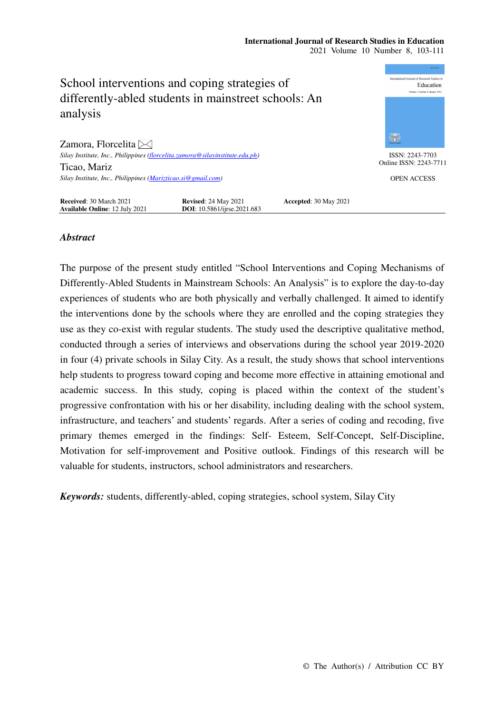## **International Journal of Research Studies in Education**  2021 Volume 10 Number 8, 103-111



## *Abstract*

The purpose of the present study entitled "School Interventions and Coping Mechanisms of Differently-Abled Students in Mainstream Schools: An Analysis" is to explore the day-to-day experiences of students who are both physically and verbally challenged. It aimed to identify the interventions done by the schools where they are enrolled and the coping strategies they use as they co-exist with regular students. The study used the descriptive qualitative method, conducted through a series of interviews and observations during the school year 2019-2020 in four (4) private schools in Silay City. As a result, the study shows that school interventions help students to progress toward coping and become more effective in attaining emotional and academic success. In this study, coping is placed within the context of the student's progressive confrontation with his or her disability, including dealing with the school system, infrastructure, and teachers' and students' regards. After a series of coding and recoding, five primary themes emerged in the findings: Self- Esteem, Self-Concept, Self-Discipline, Motivation for self-improvement and Positive outlook. Findings of this research will be valuable for students, instructors, school administrators and researchers.

*Keywords:* students, differently-abled, coping strategies, school system, Silay City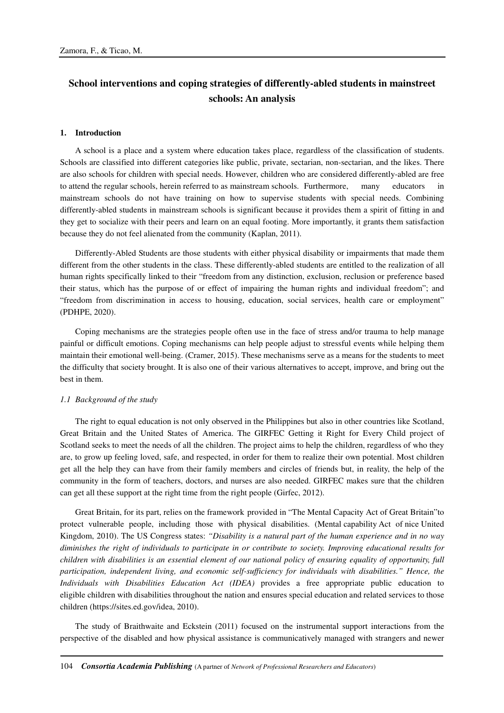# **School interventions and coping strategies of differently-abled students in mainstreet schools: An analysis**

## **1. Introduction**

A school is a place and a system where education takes place, regardless of the classification of students. Schools are classified into different categories like public, private, sectarian, non-sectarian, and the likes. There are also schools for children with special needs. However, children who are considered differently-abled are free to attend the regular schools, herein referred to as mainstream schools. Furthermore, many educators in mainstream schools do not have training on how to supervise students with special needs. Combining differently-abled students in mainstream schools is significant because it provides them a spirit of fitting in and they get to socialize with their peers and learn on an equal footing. More importantly, it grants them satisfaction because they do not feel alienated from the community (Kaplan, 2011).

Differently-Abled Students are those students with either physical disability or impairments that made them different from the other students in the class. These differently-abled students are entitled to the realization of all human rights specifically linked to their "freedom from any distinction, exclusion, reclusion or preference based their status, which has the purpose of or effect of impairing the human rights and individual freedom"; and "freedom from discrimination in access to housing, education, social services, health care or employment" (PDHPE, 2020).

Coping mechanisms are the strategies people often use in the face of stress and/or trauma to help manage painful or difficult emotions. Coping mechanisms can help people adjust to stressful events while helping them maintain their emotional well-being. (Cramer, 2015). These mechanisms serve as a means for the students to meet the difficulty that society brought. It is also one of their various alternatives to accept, improve, and bring out the best in them.

## *1.1 Background of the study*

The right to equal education is not only observed in the Philippines but also in other countries like Scotland, Great Britain and the United States of America. The GIRFEC Getting it Right for Every Child project of Scotland seeks to meet the needs of all the children. The project aims to help the children, regardless of who they are, to grow up feeling loved, safe, and respected, in order for them to realize their own potential. Most children get all the help they can have from their family members and circles of friends but, in reality, the help of the community in the form of teachers, doctors, and nurses are also needed. GIRFEC makes sure that the children can get all these support at the right time from the right people (Girfec, 2012).

Great Britain, for its part, relies on the framework provided in "The Mental Capacity Act of Great Britain"to protect vulnerable people, including those with physical disabilities. (Mental capability Act of nice United Kingdom, 2010). The US Congress states: *"Disability is a natural part of the human experience and in no way diminishes the right of individuals to participate in or contribute to society. Improving educational results for children with disabilities is an essential element of our national policy of ensuring equality of opportunity, full participation, independent living, and economic self-sufficiency for individuals with disabilities." Hence, the Individuals with Disabilities Education Act (IDEA)* provides a free appropriate public education to eligible children with disabilities throughout the nation and ensures special education and related services to those children (https://sites.ed.gov/idea, 2010).

The study of Braithwaite and Eckstein (2011) focused on the instrumental support interactions from the perspective of the disabled and how physical assistance is communicatively managed with strangers and newer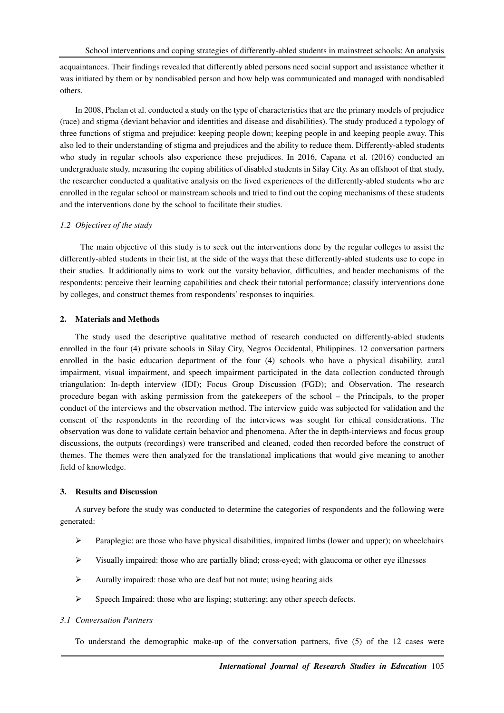acquaintances. Their findings revealed that differently abled persons need social support and assistance whether it was initiated by them or by nondisabled person and how help was communicated and managed with nondisabled others.

In 2008, Phelan et al. conducted a study on the type of characteristics that are the primary models of prejudice (race) and stigma (deviant behavior and identities and disease and disabilities). The study produced a typology of three functions of stigma and prejudice: keeping people down; keeping people in and keeping people away. This also led to their understanding of stigma and prejudices and the ability to reduce them. Differently-abled students who study in regular schools also experience these prejudices. In 2016, Capana et al. (2016) conducted an undergraduate study, measuring the coping abilities of disabled students in Silay City. As an offshoot of that study, the researcher conducted a qualitative analysis on the lived experiences of the differently-abled students who are enrolled in the regular school or mainstream schools and tried to find out the coping mechanisms of these students and the interventions done by the school to facilitate their studies.

## *1.2 Objectives of the study*

 The main objective of this study is to seek out the interventions done by the regular colleges to assist the differently-abled students in their list, at the side of the ways that these differently-abled students use to cope in their studies. It additionally aims to work out the varsity behavior, difficulties, and header mechanisms of the respondents; perceive their learning capabilities and check their tutorial performance; classify interventions done by colleges, and construct themes from respondents' responses to inquiries.

## **2. Materials and Methods**

The study used the descriptive qualitative method of research conducted on differently-abled students enrolled in the four (4) private schools in Silay City, Negros Occidental, Philippines. 12 conversation partners enrolled in the basic education department of the four (4) schools who have a physical disability, aural impairment, visual impairment, and speech impairment participated in the data collection conducted through triangulation: In-depth interview (IDI); Focus Group Discussion (FGD); and Observation. The research procedure began with asking permission from the gatekeepers of the school – the Principals, to the proper conduct of the interviews and the observation method. The interview guide was subjected for validation and the consent of the respondents in the recording of the interviews was sought for ethical considerations. The observation was done to validate certain behavior and phenomena. After the in depth-interviews and focus group discussions, the outputs (recordings) were transcribed and cleaned, coded then recorded before the construct of themes. The themes were then analyzed for the translational implications that would give meaning to another field of knowledge.

## **3. Results and Discussion**

A survey before the study was conducted to determine the categories of respondents and the following were generated:

- **Paraplegic: are those who have physical disabilities, impaired limbs (lower and upper); on wheelchairs**
- $\triangleright$  Visually impaired: those who are partially blind; cross-eyed; with glaucoma or other eye illnesses
- $\triangleright$  Aurally impaired: those who are deaf but not mute; using hearing aids
- $\triangleright$  Speech Impaired: those who are lisping; stuttering; any other speech defects.

## *3.1 Conversation Partners*

To understand the demographic make-up of the conversation partners, five (5) of the 12 cases were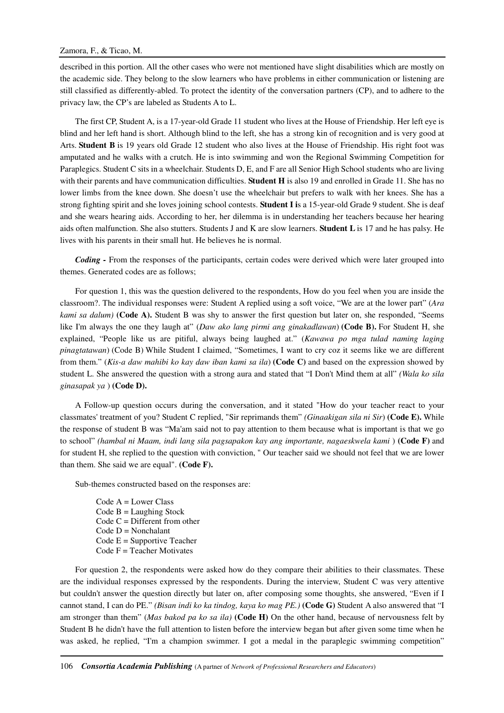described in this portion. All the other cases who were not mentioned have slight disabilities which are mostly on the academic side. They belong to the slow learners who have problems in either communication or listening are still classified as differently-abled. To protect the identity of the conversation partners (CP), and to adhere to the privacy law, the CP's are labeled as Students A to L.

The first CP, Student A, is a 17-year-old Grade 11 student who lives at the House of Friendship. Her left eye is blind and her left hand is short. Although blind to the left, she has a strong kin of recognition and is very good at Arts. **Student B** is 19 years old Grade 12 student who also lives at the House of Friendship. His right foot was amputated and he walks with a crutch. He is into swimming and won the Regional Swimming Competition for Paraplegics. Student C sits in a wheelchair. Students D, E, and F are all Senior High School students who are living with their parents and have communication difficulties. **Student H** is also 19 and enrolled in Grade 11. She has no lower limbs from the knee down. She doesn't use the wheelchair but prefers to walk with her knees. She has a strong fighting spirit and she loves joining school contests. **Student I i**s a 15-year-old Grade 9 student. She is deaf and she wears hearing aids. According to her, her dilemma is in understanding her teachers because her hearing aids often malfunction. She also stutters. Students J and K are slow learners. **Student L** is 17 and he has palsy. He lives with his parents in their small hut. He believes he is normal.

*Coding -* From the responses of the participants, certain codes were derived which were later grouped into themes. Generated codes are as follows;

For question 1, this was the question delivered to the respondents, How do you feel when you are inside the classroom?. The individual responses were: Student A replied using a soft voice, "We are at the lower part" (*Ara kami sa dalum)* **(Code A).** Student B was shy to answer the first question but later on, she responded, "Seems like I'm always the one they laugh at" (*Daw ako lang pirmi ang ginakadlawan*) **(Code B).** For Student H, she explained, "People like us are pitiful, always being laughed at." (*Kawawa po mga tulad naming laging pinagtatawan*) (Code B) While Student I claimed, "Sometimes, I want to cry coz it seems like we are different from them." (*Kis-a daw mahibi ko kay daw iban kami sa ila*) **(Code C)** and based on the expression showed by student L. She answered the question with a strong aura and stated that "I Don't Mind them at all" *(Wala ko sila ginasapak ya* ) **(Code D).**

A Follow-up question occurs during the conversation, and it stated "How do your teacher react to your classmates' treatment of you? Student C replied, "Sir reprimands them" *(Ginaakigan sila ni Sir*) **(Code E).** While the response of student B was "Ma'am said not to pay attention to them because what is important is that we go to school" *(hambal ni Maam, indi lang sila pagsapakon kay ang importante, nagaeskwela kami* ) **(Code F)** and for student H, she replied to the question with conviction, " Our teacher said we should not feel that we are lower than them. She said we are equal". **(Code F).** 

Sub-themes constructed based on the responses are:

 $Code A = Lower Class$  $Code B = Language$ Code  $C =$  Different from other  $Code D = Nonchalant$  $Code E = Supportive Teacher$  $Code F = Teacher Motivates$ 

For question 2, the respondents were asked how do they compare their abilities to their classmates. These are the individual responses expressed by the respondents. During the interview, Student C was very attentive but couldn't answer the question directly but later on, after composing some thoughts, she answered, "Even if I cannot stand, I can do PE." *(Bisan indi ko ka tindog, kaya ko mag PE.)* **(Code G)** Student A also answered that "I am stronger than them" (*Mas bakod pa ko sa ila)* **(Code H)** On the other hand, because of nervousness felt by Student B he didn't have the full attention to listen before the interview began but after given some time when he was asked, he replied, "I'm a champion swimmer. I got a medal in the paraplegic swimming competition"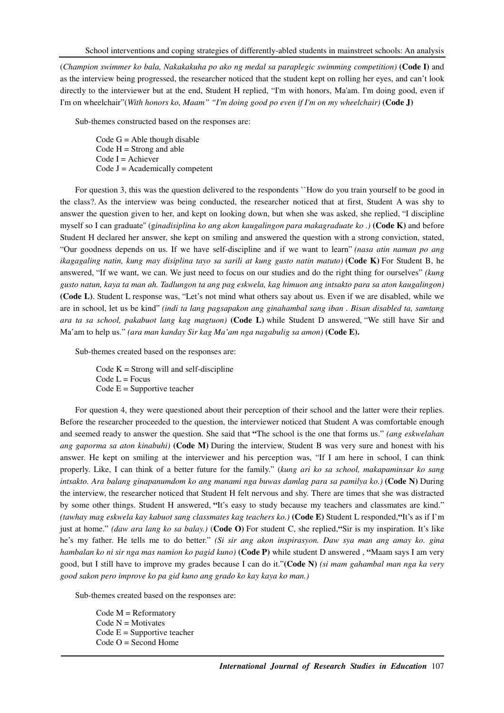(*Champion swimmer ko bala, Nakakakuha po ako ng medal sa paraplegic swimming competition)* **(Code I)** and as the interview being progressed, the researcher noticed that the student kept on rolling her eyes, and can't look directly to the interviewer but at the end, Student H replied, "I'm with honors, Ma'am. I'm doing good, even if I'm on wheelchair"(*With honors ko, Maam" "I'm doing good po even if I'm on my wheelchair)* **(Code J)**

Sub-themes constructed based on the responses are:

Code  $G =$  Able though disable  $Code H = Strong$  and able Code  $I =$  Achiever  $Code J = Academy$  competent

For question 3, this was the question delivered to the respondents ``How do you train yourself to be good in the class?. As the interview was being conducted, the researcher noticed that at first, Student A was shy to answer the question given to her, and kept on looking down, but when she was asked, she replied, "I discipline myself so I can graduate'' (g*inadisiplina ko ang akon kaugalingon para makagraduate ko .)* **(Code K)** and before Student H declared her answer, she kept on smiling and answered the question with a strong conviction, stated, "Our goodness depends on us. If we have self-discipline and if we want to learn" *(nasa atin naman po ang ikagagaling natin, kung may disiplina tayo sa sarili at kung gusto natin matuto)* **(Code K)** For Student B, he answered, "If we want, we can. We just need to focus on our studies and do the right thing for ourselves" *(kung gusto natun, kaya ta man ah. Tadlungon ta ang pag eskwela, kag himuon ang intsakto para sa aton kaugalingon)*  **(Code L)**. Student L response was, "Let's not mind what others say about us. Even if we are disabled, while we are in school, let us be kind" *(indi ta lang pagsapakon ang ginahambal sang iban . Bisan disabled ta, samtang ara ta sa school, pakabuot lang kag magtuon)* **(Code L)** while Student D answered, "We still have Sir and Ma'am to help us." *(ara man kanday Sir kag Ma'am nga nagabulig sa amon)* **(Code E).** 

Sub-themes created based on the responses are:

Code  $K =$  Strong will and self-discipline  $Code L = Focus$ Code  $E =$  Supportive teacher

For question 4, they were questioned about their perception of their school and the latter were their replies. Before the researcher proceeded to the question, the interviewer noticed that Student A was comfortable enough and seemed ready to answer the question. She said that **"**The school is the one that forms us." *(ang eskwelahan ang gaporma sa aton kinabuhi)* **(Code M)** During the interview, Student B was very sure and honest with his answer. He kept on smiling at the interviewer and his perception was, "If I am here in school, I can think properly. Like, I can think of a better future for the family." (*kung ari ko sa school, makapaminsar ko sang intsakto. Ara balang ginapanumdom ko ang manami nga buwas damlag para sa pamilya ko.)* **(Code N)** During the interview, the researcher noticed that Student H felt nervous and shy. There are times that she was distracted by some other things. Student H answered, **"**It's easy to study because my teachers and classmates are kind." *(tawhay mag eskwela kay kabuot sang classmates kag teachers ko.)* **(Code E)** Student L responded,**"**It's as if I'm just at home." *(daw ara lang ko sa balay.)* (**Code O)** For student C, she replied,**"**Sir is my inspiration. It's like he's my father. He tells me to do better." *(Si sir ang akon inspirasyon. Daw sya man ang amay ko. gina hambalan ko ni sir nga mas namion ko pagid kuno)* **(Code P)** while student D answered , **"**Maam says I am very good, but I still have to improve my grades because I can do it."**(Code N)** *(si mam gahambal man nga ka very good sakon pero improve ko pa gid kuno ang grado ko kay kaya ko man.)*

Sub-themes created based on the responses are:

Code M = Reformatory  $Code N = Motivates$ Code  $E =$  Supportive teacher Code O = Second Home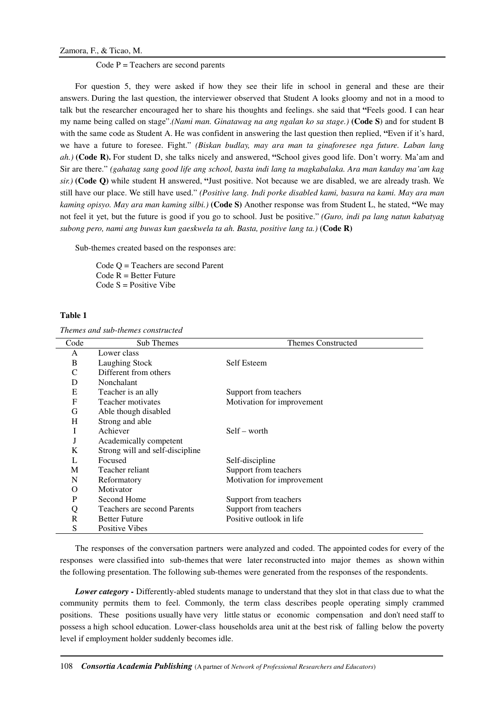Code  $P = T$  eachers are second parents

For question 5, they were asked if how they see their life in school in general and these are their answers. During the last question, the interviewer observed that Student A looks gloomy and not in a mood to talk but the researcher encouraged her to share his thoughts and feelings. she said that **"**Feels good. I can hear my name being called on stage".*(Nami man. Ginatawag na ang ngalan ko sa stage.)* **(Code S**) and for student B with the same code as Student A. He was confident in answering the last question then replied, **"**Even if it's hard, we have a future to foresee. Fight." *(Biskan budlay, may ara man ta ginaforesee nga future. Laban lang ah.)* **(Code R).** For student D, she talks nicely and answered, **"**School gives good life. Don't worry. Ma'am and Sir are there." *(gahatag sang good life ang school, basta indi lang ta magkabalaka. Ara man kanday ma'am kag sir.)* **(Code Q)** while student H answered, **"**Just positive. Not because we are disabled, we are already trash. We still have our place. We still have used." *(Positive lang. Indi porke disabled kami, basura na kami. May ara man kaming opisyo. May ara man kaming silbi.)* **(Code S)** Another response was from Student L, he stated, **"**We may not feel it yet, but the future is good if you go to school. Just be positive." *(Guro, indi pa lang natun kabatyag subong pero, nami ang buwas kun gaeskwela ta ah. Basta, positive lang ta.)* **(Code R)** 

Sub-themes created based on the responses are:

Code Q = Teachers are second Parent Code  $R =$  Better Future  $Code S = Positive Vibe$ 

## **Table 1**

*Themes and sub-themes constructed* 

| Code | Sub Themes                      | <b>Themes Constructed</b>  |
|------|---------------------------------|----------------------------|
| A    | Lower class                     |                            |
| B    | Laughing Stock                  | Self Esteem                |
| C    | Different from others           |                            |
| D    | <b>Nonchalant</b>               |                            |
| E    | Teacher is an ally              | Support from teachers      |
| F    | Teacher motivates               | Motivation for improvement |
| G    | Able though disabled            |                            |
| H    | Strong and able                 |                            |
| I    | Achiever                        | $Self - worth$             |
| J    | Academically competent          |                            |
| K    | Strong will and self-discipline |                            |
|      | Focused                         | Self-discipline            |
| M    | Teacher reliant                 | Support from teachers      |
| N    | Reformatory                     | Motivation for improvement |
| O    | Motivator                       |                            |
| P    | Second Home                     | Support from teachers      |
| Q    | Teachers are second Parents     | Support from teachers      |
| R    | <b>Better Future</b>            | Positive outlook in life   |
| S    | <b>Positive Vibes</b>           |                            |

The responses of the conversation partners were analyzed and coded. The appointed codes for every of the responses were classified into sub-themes that were later reconstructed into major themes as shown within the following presentation. The following sub-themes were generated from the responses of the respondents.

*Lower category -* Differently-abled students manage to understand that they slot in that class due to what the community permits them to feel. Commonly, the term class describes people operating simply crammed positions. These positions usually have very little status or economic compensation and don't need staff to possess a high school education. Lower-class households area unit at the best risk of falling below the poverty level if employment holder suddenly becomes idle.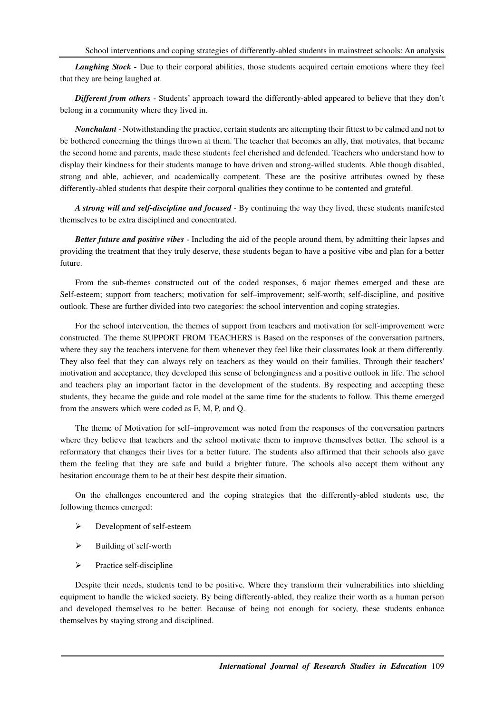*Laughing Stock - Due to their corporal abilities, those students acquired certain emotions where they feel* that they are being laughed at.

*Different from others* - Students' approach toward the differently-abled appeared to believe that they don't belong in a community where they lived in.

*Nonchalant* - Notwithstanding the practice, certain students are attempting their fittest to be calmed and not to be bothered concerning the things thrown at them. The teacher that becomes an ally, that motivates, that became the second home and parents, made these students feel cherished and defended. Teachers who understand how to display their kindness for their students manage to have driven and strong-willed students. Able though disabled, strong and able, achiever, and academically competent. These are the positive attributes owned by these differently-abled students that despite their corporal qualities they continue to be contented and grateful.

*A strong will and self-discipline and focused* - By continuing the way they lived, these students manifested themselves to be extra disciplined and concentrated.

*Better future and positive vibes* - Including the aid of the people around them, by admitting their lapses and providing the treatment that they truly deserve, these students began to have a positive vibe and plan for a better future.

From the sub-themes constructed out of the coded responses, 6 major themes emerged and these are Self-esteem; support from teachers; motivation for self–improvement; self-worth; self-discipline, and positive outlook. These are further divided into two categories: the school intervention and coping strategies.

For the school intervention, the themes of support from teachers and motivation for self-improvement were constructed. The theme SUPPORT FROM TEACHERS is Based on the responses of the conversation partners, where they say the teachers intervene for them whenever they feel like their classmates look at them differently. They also feel that they can always rely on teachers as they would on their families. Through their teachers' motivation and acceptance, they developed this sense of belongingness and a positive outlook in life. The school and teachers play an important factor in the development of the students. By respecting and accepting these students, they became the guide and role model at the same time for the students to follow. This theme emerged from the answers which were coded as E, M, P, and Q.

The theme of Motivation for self–improvement was noted from the responses of the conversation partners where they believe that teachers and the school motivate them to improve themselves better. The school is a reformatory that changes their lives for a better future. The students also affirmed that their schools also gave them the feeling that they are safe and build a brighter future. The schools also accept them without any hesitation encourage them to be at their best despite their situation.

On the challenges encountered and the coping strategies that the differently-abled students use, the following themes emerged:

- Development of self-esteem
- $\triangleright$  Building of self-worth
- $\triangleright$  Practice self-discipline

Despite their needs, students tend to be positive. Where they transform their vulnerabilities into shielding equipment to handle the wicked society. By being differently-abled, they realize their worth as a human person and developed themselves to be better. Because of being not enough for society, these students enhance themselves by staying strong and disciplined.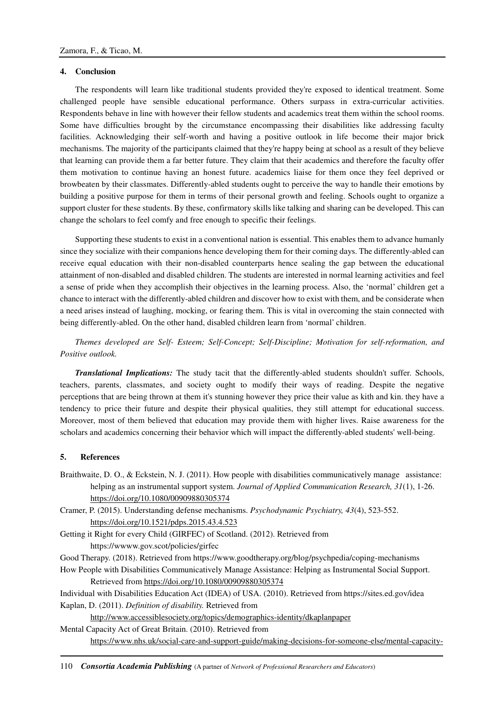## **4. Conclusion**

The respondents will learn like traditional students provided they're exposed to identical treatment. Some challenged people have sensible educational performance. Others surpass in extra-curricular activities. Respondents behave in line with however their fellow students and academics treat them within the school rooms. Some have difficulties brought by the circumstance encompassing their disabilities like addressing faculty facilities. Acknowledging their self-worth and having a positive outlook in life become their major brick mechanisms. The majority of the participants claimed that they're happy being at school as a result of they believe that learning can provide them a far better future. They claim that their academics and therefore the faculty offer them motivation to continue having an honest future. academics liaise for them once they feel deprived or browbeaten by their classmates. Differently-abled students ought to perceive the way to handle their emotions by building a positive purpose for them in terms of their personal growth and feeling. Schools ought to organize a support cluster for these students. By these, confirmatory skills like talking and sharing can be developed. This can change the scholars to feel comfy and free enough to specific their feelings.

Supporting these students to exist in a conventional nation is essential. This enables them to advance humanly since they socialize with their companions hence developing them for their coming days. The differently-abled can receive equal education with their non-disabled counterparts hence sealing the gap between the educational attainment of non-disabled and disabled children. The students are interested in normal learning activities and feel a sense of pride when they accomplish their objectives in the learning process. Also, the 'normal' children get a chance to interact with the differently-abled children and discover how to exist with them, and be considerate when a need arises instead of laughing, mocking, or fearing them. This is vital in overcoming the stain connected with being differently-abled. On the other hand, disabled children learn from 'normal' children.

*Themes developed are Self- Esteem; Self-Concept; Self-Discipline; Motivation for self-reformation, and Positive outlook.* 

*Translational Implications:* The study tacit that the differently-abled students shouldn't suffer. Schools, teachers, parents, classmates, and society ought to modify their ways of reading. Despite the negative perceptions that are being thrown at them it's stunning however they price their value as kith and kin. they have a tendency to price their future and despite their physical qualities, they still attempt for educational success. Moreover, most of them believed that education may provide them with higher lives. Raise awareness for the scholars and academics concerning their behavior which will impact the differently-abled students' well-being.

#### **5. References**

Braithwaite, D. O., & Eckstein, N. J. (2011). How people with disabilities communicatively manage assistance: helping as an instrumental support system. *Journal of Applied Communication Research, 31*(1), 1-26. https://doi.org/10.1080/00909880305374

Cramer, P. (2015). Understanding defense mechanisms. *Psychodynamic Psychiatry, 43*(4), 523-552. https://doi.org/10.1521/pdps.2015.43.4.523

Getting it Right for every Child (GIRFEC) of Scotland. (2012). Retrieved from https://wwww.gov.scot/policies/girfec

Good Therapy. (2018). Retrieved from https://www.goodtherapy.org/blog/psychpedia/coping-mechanisms

How People with Disabilities Communicatively Manage Assistance: Helping as Instrumental Social Support. Retrieved from https://doi.org/10.1080/00909880305374

Individual with Disabilities Education Act (IDEA) of USA. (2010). Retrieved from https://sites.ed.gov/idea Kaplan, D. (2011). *Definition of disability.* Retrieved from

http://www.accessiblesociety.org/topics/demographics-identity/dkaplanpaper

Mental Capacity Act of Great Britain. (2010). Retrieved from https://www.nhs.uk/social-care-and-support-guide/making-decisions-for-someone-else/mental-capacity